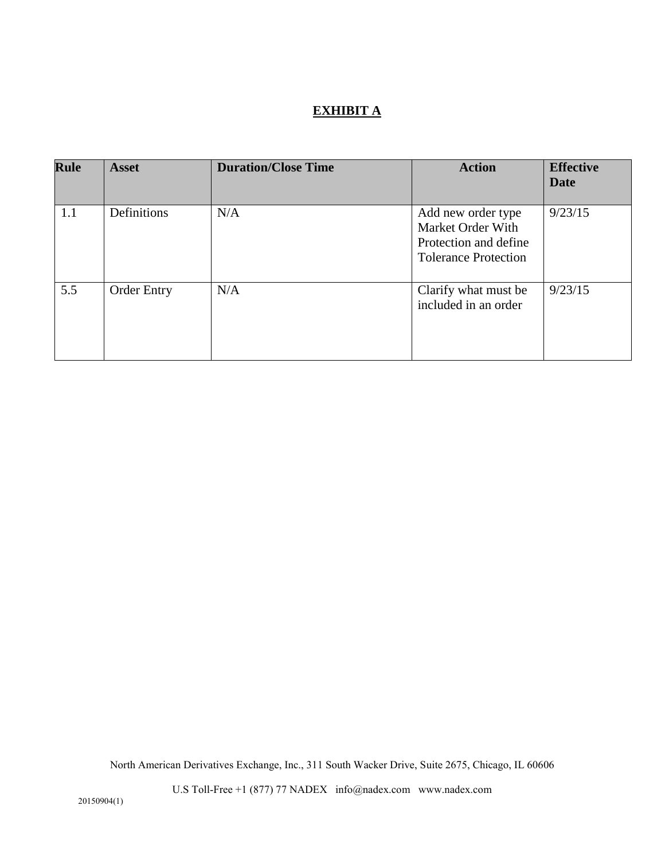# **EXHIBIT A**

| <b>Rule</b> | <b>Asset</b>       | <b>Duration/Close Time</b> | <b>Action</b>                                                                                   | <b>Effective</b><br><b>Date</b> |
|-------------|--------------------|----------------------------|-------------------------------------------------------------------------------------------------|---------------------------------|
| 1.1         | Definitions        | N/A                        | Add new order type<br>Market Order With<br>Protection and define<br><b>Tolerance Protection</b> | 9/23/15                         |
| 5.5         | <b>Order Entry</b> | N/A                        | Clarify what must be<br>included in an order                                                    | 9/23/15                         |

North American Derivatives Exchange, Inc., 311 South Wacker Drive, Suite 2675, Chicago, IL 60606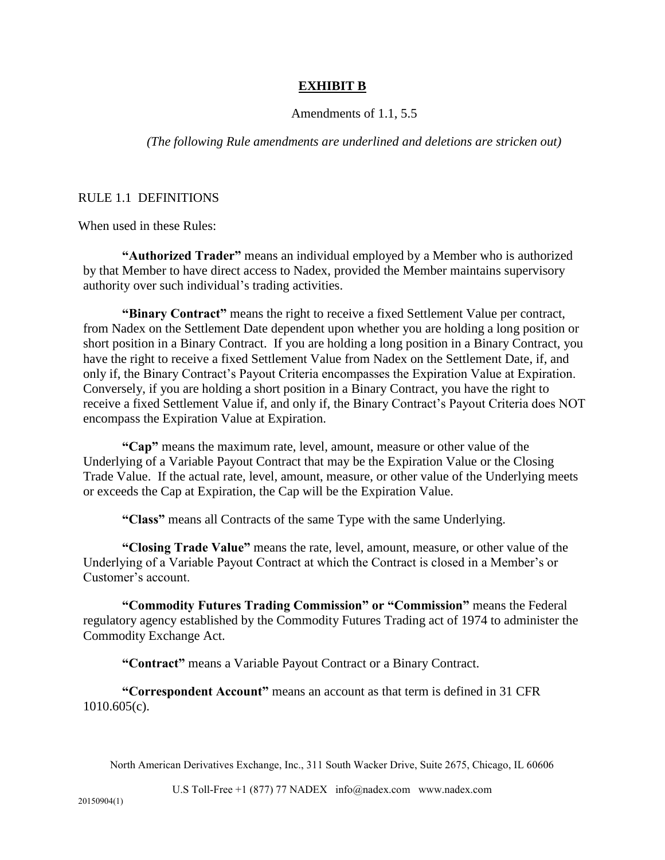## **EXHIBIT B**

## Amendments of 1.1, 5.5

*(The following Rule amendments are underlined and deletions are stricken out)*

## RULE 1.1 DEFINITIONS

When used in these Rules:

**"Authorized Trader"** means an individual employed by a Member who is authorized by that Member to have direct access to Nadex, provided the Member maintains supervisory authority over such individual's trading activities.

**"Binary Contract"** means the right to receive a fixed Settlement Value per contract, from Nadex on the Settlement Date dependent upon whether you are holding a long position or short position in a Binary Contract. If you are holding a long position in a Binary Contract, you have the right to receive a fixed Settlement Value from Nadex on the Settlement Date, if, and only if, the Binary Contract's Payout Criteria encompasses the Expiration Value at Expiration. Conversely, if you are holding a short position in a Binary Contract, you have the right to receive a fixed Settlement Value if, and only if, the Binary Contract's Payout Criteria does NOT encompass the Expiration Value at Expiration.

**"Cap"** means the maximum rate, level, amount, measure or other value of the Underlying of a Variable Payout Contract that may be the Expiration Value or the Closing Trade Value. If the actual rate, level, amount, measure, or other value of the Underlying meets or exceeds the Cap at Expiration, the Cap will be the Expiration Value.

**"Class"** means all Contracts of the same Type with the same Underlying.

**"Closing Trade Value"** means the rate, level, amount, measure, or other value of the Underlying of a Variable Payout Contract at which the Contract is closed in a Member's or Customer's account.

**"Commodity Futures Trading Commission" or "Commission"** means the Federal regulatory agency established by the Commodity Futures Trading act of 1974 to administer the Commodity Exchange Act.

**"Contract"** means a Variable Payout Contract or a Binary Contract.

**"Correspondent Account"** means an account as that term is defined in 31 CFR  $1010.605(c)$ .

North American Derivatives Exchange, Inc., 311 South Wacker Drive, Suite 2675, Chicago, IL 60606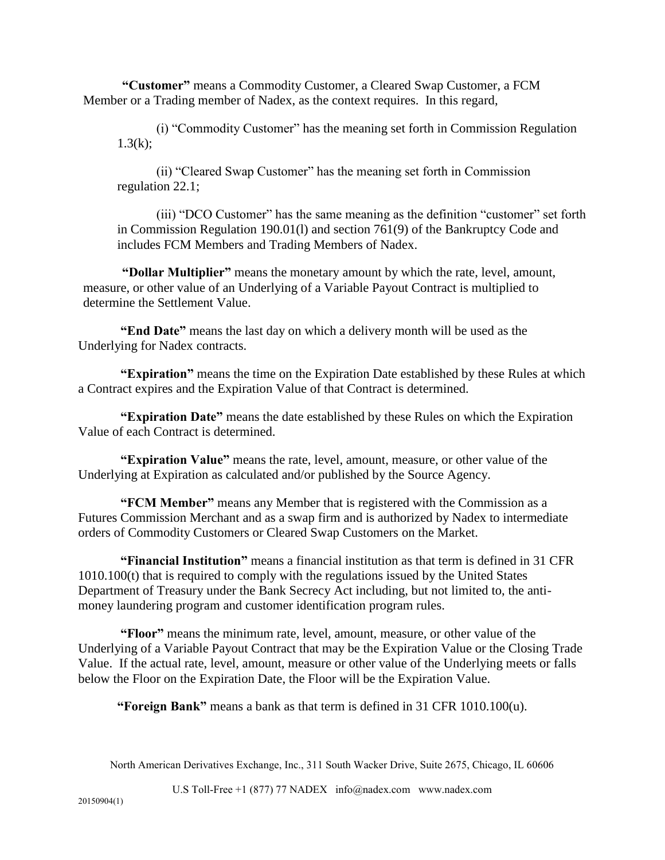**"Customer"** means a Commodity Customer, a Cleared Swap Customer, a FCM Member or a Trading member of Nadex, as the context requires. In this regard,

(i) "Commodity Customer" has the meaning set forth in Commission Regulation  $1.3(k);$ 

(ii) "Cleared Swap Customer" has the meaning set forth in Commission regulation 22.1;

(iii) "DCO Customer" has the same meaning as the definition "customer" set forth in Commission Regulation 190.01(l) and section 761(9) of the Bankruptcy Code and includes FCM Members and Trading Members of Nadex.

**"Dollar Multiplier"** means the monetary amount by which the rate, level, amount, measure, or other value of an Underlying of a Variable Payout Contract is multiplied to determine the Settlement Value.

**"End Date"** means the last day on which a delivery month will be used as the Underlying for Nadex contracts.

**"Expiration"** means the time on the Expiration Date established by these Rules at which a Contract expires and the Expiration Value of that Contract is determined.

**"Expiration Date"** means the date established by these Rules on which the Expiration Value of each Contract is determined.

**"Expiration Value"** means the rate, level, amount, measure, or other value of the Underlying at Expiration as calculated and/or published by the Source Agency.

**"FCM Member"** means any Member that is registered with the Commission as a Futures Commission Merchant and as a swap firm and is authorized by Nadex to intermediate orders of Commodity Customers or Cleared Swap Customers on the Market.

**"Financial Institution"** means a financial institution as that term is defined in 31 CFR 1010.100(t) that is required to comply with the regulations issued by the United States Department of Treasury under the Bank Secrecy Act including, but not limited to, the antimoney laundering program and customer identification program rules.

**"Floor"** means the minimum rate, level, amount, measure, or other value of the Underlying of a Variable Payout Contract that may be the Expiration Value or the Closing Trade Value. If the actual rate, level, amount, measure or other value of the Underlying meets or falls below the Floor on the Expiration Date, the Floor will be the Expiration Value.

**"Foreign Bank"** means a bank as that term is defined in 31 CFR 1010.100(u).

North American Derivatives Exchange, Inc., 311 South Wacker Drive, Suite 2675, Chicago, IL 60606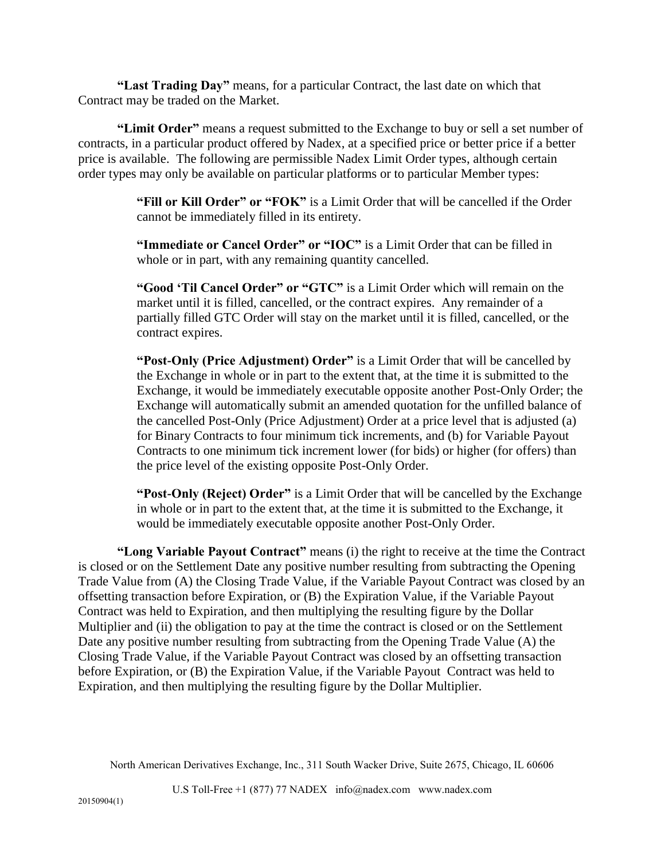**"Last Trading Day"** means, for a particular Contract, the last date on which that Contract may be traded on the Market.

**"Limit Order"** means a request submitted to the Exchange to buy or sell a set number of contracts, in a particular product offered by Nadex, at a specified price or better price if a better price is available. The following are permissible Nadex Limit Order types, although certain order types may only be available on particular platforms or to particular Member types:

> **"Fill or Kill Order" or "FOK"** is a Limit Order that will be cancelled if the Order cannot be immediately filled in its entirety.

**"Immediate or Cancel Order" or "IOC"** is a Limit Order that can be filled in whole or in part, with any remaining quantity cancelled.

**"Good 'Til Cancel Order" or "GTC"** is a Limit Order which will remain on the market until it is filled, cancelled, or the contract expires. Any remainder of a partially filled GTC Order will stay on the market until it is filled, cancelled, or the contract expires.

**"Post-Only (Price Adjustment) Order"** is a Limit Order that will be cancelled by the Exchange in whole or in part to the extent that, at the time it is submitted to the Exchange, it would be immediately executable opposite another Post-Only Order; the Exchange will automatically submit an amended quotation for the unfilled balance of the cancelled Post-Only (Price Adjustment) Order at a price level that is adjusted (a) for Binary Contracts to four minimum tick increments, and (b) for Variable Payout Contracts to one minimum tick increment lower (for bids) or higher (for offers) than the price level of the existing opposite Post-Only Order.

**"Post-Only (Reject) Order"** is a Limit Order that will be cancelled by the Exchange in whole or in part to the extent that, at the time it is submitted to the Exchange, it would be immediately executable opposite another Post-Only Order.

**"Long Variable Payout Contract"** means (i) the right to receive at the time the Contract is closed or on the Settlement Date any positive number resulting from subtracting the Opening Trade Value from (A) the Closing Trade Value, if the Variable Payout Contract was closed by an offsetting transaction before Expiration, or (B) the Expiration Value, if the Variable Payout Contract was held to Expiration, and then multiplying the resulting figure by the Dollar Multiplier and (ii) the obligation to pay at the time the contract is closed or on the Settlement Date any positive number resulting from subtracting from the Opening Trade Value (A) the Closing Trade Value, if the Variable Payout Contract was closed by an offsetting transaction before Expiration, or (B) the Expiration Value, if the Variable Payout Contract was held to Expiration, and then multiplying the resulting figure by the Dollar Multiplier.

North American Derivatives Exchange, Inc., 311 South Wacker Drive, Suite 2675, Chicago, IL 60606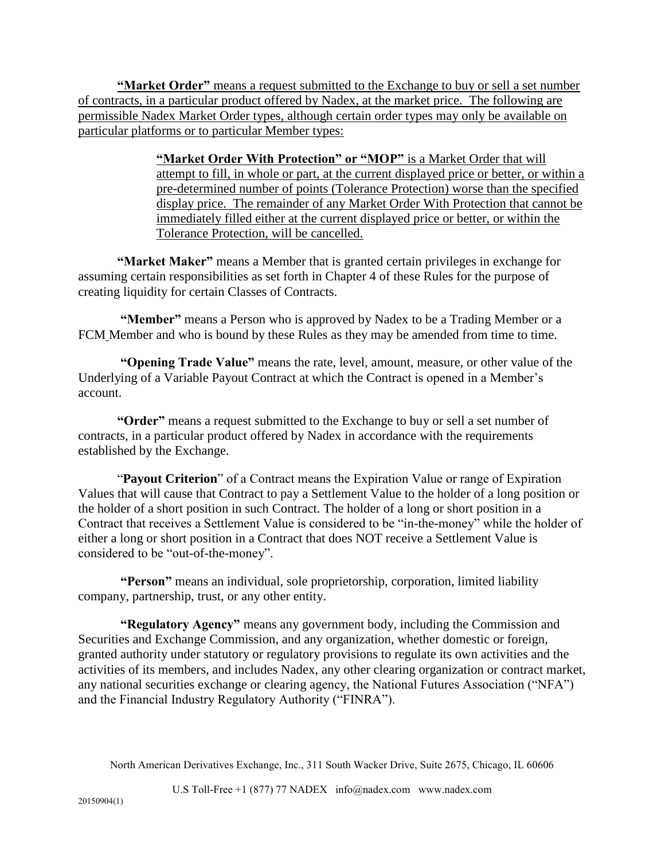**"Market Order"** means a request submitted to the Exchange to buy or sell a set number of contracts, in a particular product offered by Nadex, at the market price. The following are permissible Nadex Market Order types, although certain order types may only be available on particular platforms or to particular Member types:

> **"Market Order With Protection" or "MOP"** is a Market Order that will attempt to fill, in whole or part, at the current displayed price or better, or within a pre-determined number of points (Tolerance Protection) worse than the specified display price. The remainder of any Market Order With Protection that cannot be immediately filled either at the current displayed price or better, or within the Tolerance Protection, will be cancelled.

**"Market Maker"** means a Member that is granted certain privileges in exchange for assuming certain responsibilities as set forth in Chapter 4 of these Rules for the purpose of creating liquidity for certain Classes of Contracts.

**"Member"** means a Person who is approved by Nadex to be a Trading Member or a FCM Member and who is bound by these Rules as they may be amended from time to time.

**"Opening Trade Value"** means the rate, level, amount, measure, or other value of the Underlying of a Variable Payout Contract at which the Contract is opened in a Member's account.

**"Order"** means a request submitted to the Exchange to buy or sell a set number of contracts, in a particular product offered by Nadex in accordance with the requirements established by the Exchange.

"**Payout Criterion**" of a Contract means the Expiration Value or range of Expiration Values that will cause that Contract to pay a Settlement Value to the holder of a long position or the holder of a short position in such Contract. The holder of a long or short position in a Contract that receives a Settlement Value is considered to be "in-the-money" while the holder of either a long or short position in a Contract that does NOT receive a Settlement Value is considered to be "out-of-the-money".

**"Person"** means an individual, sole proprietorship, corporation, limited liability company, partnership, trust, or any other entity.

**"Regulatory Agency"** means any government body, including the Commission and Securities and Exchange Commission, and any organization, whether domestic or foreign, granted authority under statutory or regulatory provisions to regulate its own activities and the activities of its members, and includes Nadex, any other clearing organization or contract market, any national securities exchange or clearing agency, the National Futures Association ("NFA") and the Financial Industry Regulatory Authority ("FINRA").

North American Derivatives Exchange, Inc., 311 South Wacker Drive, Suite 2675, Chicago, IL 60606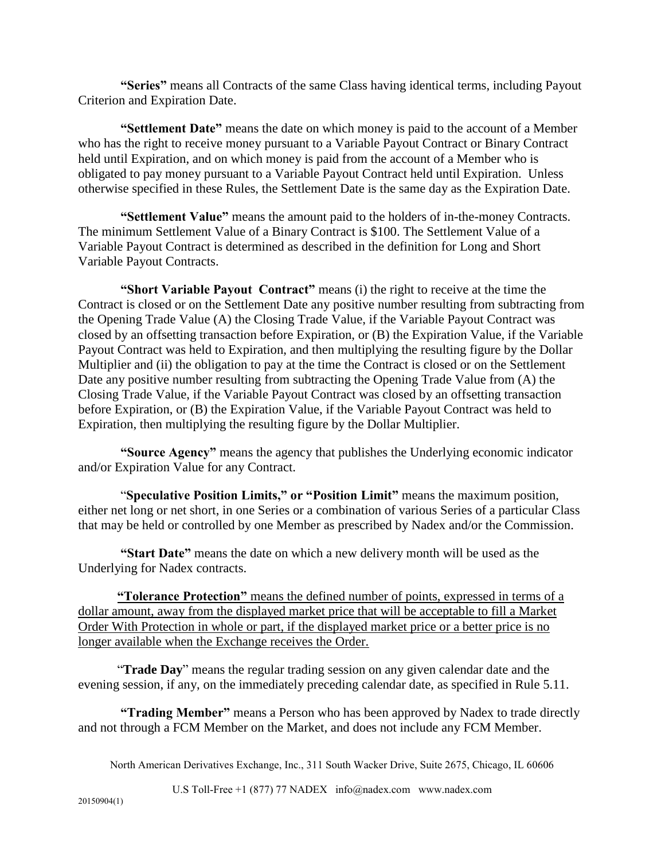**"Series"** means all Contracts of the same Class having identical terms, including Payout Criterion and Expiration Date.

**"Settlement Date"** means the date on which money is paid to the account of a Member who has the right to receive money pursuant to a Variable Payout Contract or Binary Contract held until Expiration, and on which money is paid from the account of a Member who is obligated to pay money pursuant to a Variable Payout Contract held until Expiration. Unless otherwise specified in these Rules, the Settlement Date is the same day as the Expiration Date.

**"Settlement Value"** means the amount paid to the holders of in-the-money Contracts. The minimum Settlement Value of a Binary Contract is \$100. The Settlement Value of a Variable Payout Contract is determined as described in the definition for Long and Short Variable Payout Contracts.

**"Short Variable Payout Contract"** means (i) the right to receive at the time the Contract is closed or on the Settlement Date any positive number resulting from subtracting from the Opening Trade Value (A) the Closing Trade Value, if the Variable Payout Contract was closed by an offsetting transaction before Expiration, or (B) the Expiration Value, if the Variable Payout Contract was held to Expiration, and then multiplying the resulting figure by the Dollar Multiplier and (ii) the obligation to pay at the time the Contract is closed or on the Settlement Date any positive number resulting from subtracting the Opening Trade Value from (A) the Closing Trade Value, if the Variable Payout Contract was closed by an offsetting transaction before Expiration, or (B) the Expiration Value, if the Variable Payout Contract was held to Expiration, then multiplying the resulting figure by the Dollar Multiplier.

**"Source Agency"** means the agency that publishes the Underlying economic indicator and/or Expiration Value for any Contract.

"**Speculative Position Limits," or "Position Limit"** means the maximum position, either net long or net short, in one Series or a combination of various Series of a particular Class that may be held or controlled by one Member as prescribed by Nadex and/or the Commission.

**"Start Date"** means the date on which a new delivery month will be used as the Underlying for Nadex contracts.

**"Tolerance Protection"** means the defined number of points, expressed in terms of a dollar amount, away from the displayed market price that will be acceptable to fill a Market Order With Protection in whole or part, if the displayed market price or a better price is no longer available when the Exchange receives the Order.

"**Trade Day**" means the regular trading session on any given calendar date and the evening session, if any, on the immediately preceding calendar date, as specified in Rule 5.11.

**"Trading Member"** means a Person who has been approved by Nadex to trade directly and not through a FCM Member on the Market, and does not include any FCM Member.

North American Derivatives Exchange, Inc., 311 South Wacker Drive, Suite 2675, Chicago, IL 60606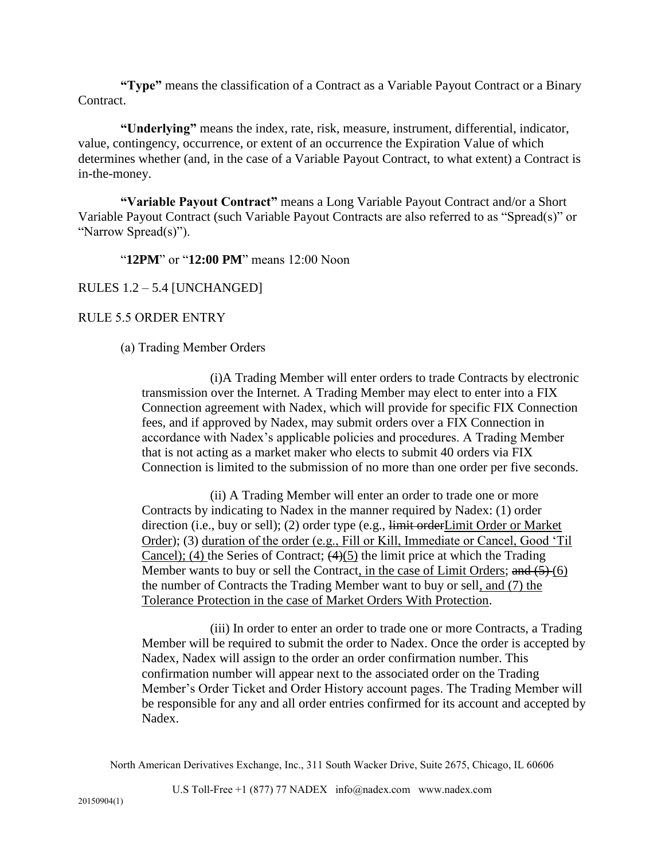**"Type"** means the classification of a Contract as a Variable Payout Contract or a Binary Contract.

**"Underlying"** means the index, rate, risk, measure, instrument, differential, indicator, value, contingency, occurrence, or extent of an occurrence the Expiration Value of which determines whether (and, in the case of a Variable Payout Contract, to what extent) a Contract is in-the-money.

**"Variable Payout Contract"** means a Long Variable Payout Contract and/or a Short Variable Payout Contract (such Variable Payout Contracts are also referred to as "Spread(s)" or "Narrow Spread(s)").

"**12PM**" or "**12:00 PM**" means 12:00 Noon

RULES 1.2 – 5.4 [UNCHANGED]

RULE 5.5 ORDER ENTRY

(a) Trading Member Orders

(i)A Trading Member will enter orders to trade Contracts by electronic transmission over the Internet. A Trading Member may elect to enter into a FIX Connection agreement with Nadex, which will provide for specific FIX Connection fees, and if approved by Nadex, may submit orders over a FIX Connection in accordance with Nadex's applicable policies and procedures. A Trading Member that is not acting as a market maker who elects to submit 40 orders via FIX Connection is limited to the submission of no more than one order per five seconds.

(ii) A Trading Member will enter an order to trade one or more Contracts by indicating to Nadex in the manner required by Nadex: (1) order direction (i.e., buy or sell); (2) order type (e.g., limit orderLimit Order or Market Order); (3) duration of the order (e.g., Fill or Kill, Immediate or Cancel, Good 'Til Cancel); (4) the Series of Contract;  $(4)(5)$  the limit price at which the Trading Member wants to buy or sell the Contract, in the case of Limit Orders; and  $(5)$ - $(6)$ the number of Contracts the Trading Member want to buy or sell, and (7) the Tolerance Protection in the case of Market Orders With Protection.

(iii) In order to enter an order to trade one or more Contracts, a Trading Member will be required to submit the order to Nadex. Once the order is accepted by Nadex, Nadex will assign to the order an order confirmation number. This confirmation number will appear next to the associated order on the Trading Member's Order Ticket and Order History account pages. The Trading Member will be responsible for any and all order entries confirmed for its account and accepted by Nadex.

North American Derivatives Exchange, Inc., 311 South Wacker Drive, Suite 2675, Chicago, IL 60606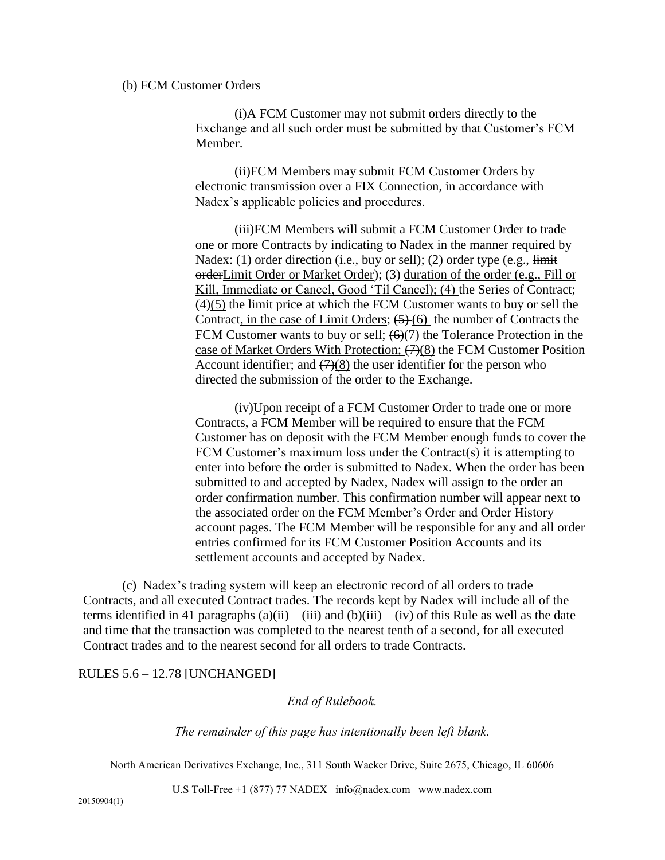#### (b) FCM Customer Orders

(i)A FCM Customer may not submit orders directly to the Exchange and all such order must be submitted by that Customer's FCM Member.

(ii)FCM Members may submit FCM Customer Orders by electronic transmission over a FIX Connection, in accordance with Nadex's applicable policies and procedures.

(iii)FCM Members will submit a FCM Customer Order to trade one or more Contracts by indicating to Nadex in the manner required by Nadex: (1) order direction (i.e., buy or sell); (2) order type (e.g., limit orderLimit Order or Market Order); (3) duration of the order (e.g., Fill or Kill, Immediate or Cancel, Good 'Til Cancel); (4) the Series of Contract;  $(4)(5)$  the limit price at which the FCM Customer wants to buy or sell the Contract, in the case of Limit Orders;  $(5)$  (6) the number of Contracts the FCM Customer wants to buy or sell;  $(6)(7)$  the Tolerance Protection in the case of Market Orders With Protection;  $(7)(8)$  the FCM Customer Position Account identifier; and  $(7)(8)$  the user identifier for the person who directed the submission of the order to the Exchange.

(iv)Upon receipt of a FCM Customer Order to trade one or more Contracts, a FCM Member will be required to ensure that the FCM Customer has on deposit with the FCM Member enough funds to cover the FCM Customer's maximum loss under the Contract(s) it is attempting to enter into before the order is submitted to Nadex. When the order has been submitted to and accepted by Nadex, Nadex will assign to the order an order confirmation number. This confirmation number will appear next to the associated order on the FCM Member's Order and Order History account pages. The FCM Member will be responsible for any and all order entries confirmed for its FCM Customer Position Accounts and its settlement accounts and accepted by Nadex.

(c) Nadex's trading system will keep an electronic record of all orders to trade Contracts, and all executed Contract trades. The records kept by Nadex will include all of the terms identified in 41 paragraphs  $(a)(ii) - (iii)$  and  $(b)(iii) - (iv)$  of this Rule as well as the date and time that the transaction was completed to the nearest tenth of a second, for all executed Contract trades and to the nearest second for all orders to trade Contracts.

### RULES 5.6 – 12.78 [UNCHANGED]

### *End of Rulebook.*

*The remainder of this page has intentionally been left blank.*

North American Derivatives Exchange, Inc., 311 South Wacker Drive, Suite 2675, Chicago, IL 60606